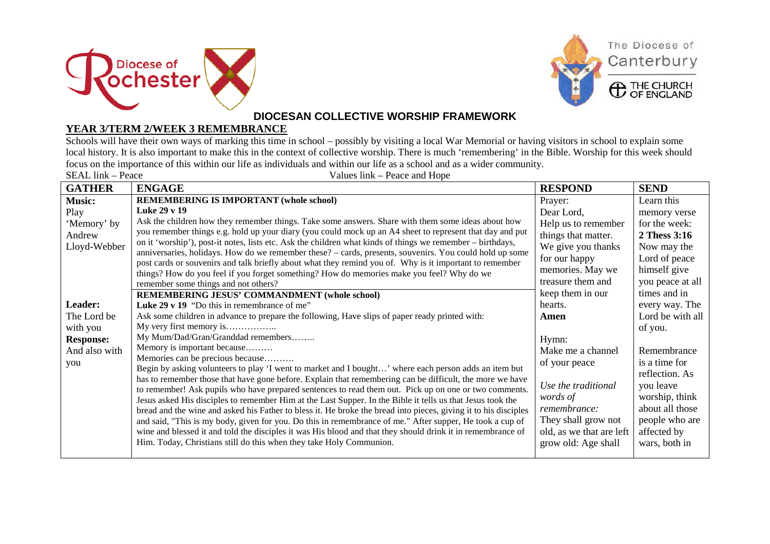



## **DIOCESAN COLLECTIVE WORSHIP FRAMEWORK**

## **YEAR 3/TERM 2/WEEK 3 REMEMBRANCE**

Schools will have their own ways of marking this time in school – possibly by visiting a local War Memorial or having visitors in school to explain some local history. It is also important to make this in the context of collective worship. There is much 'remembering' in the Bible. Worship for this week should focus on the importance of this within our life as individuals and within our life as a school and as a wider community.

| SEAL link – Peace<br>Values link – Peace and Hope |                                                                                                                                                                                                                     |                          |                  |  |  |
|---------------------------------------------------|---------------------------------------------------------------------------------------------------------------------------------------------------------------------------------------------------------------------|--------------------------|------------------|--|--|
| <b>GATHER</b>                                     | <b>ENGAGE</b>                                                                                                                                                                                                       | <b>RESPOND</b>           | <b>SEND</b>      |  |  |
| <b>Music:</b>                                     | <b>REMEMBERING IS IMPORTANT (whole school)</b>                                                                                                                                                                      | Prayer:                  | Learn this       |  |  |
| Play                                              | Luke 29 v 19                                                                                                                                                                                                        | Dear Lord,               | memory verse     |  |  |
| 'Memory' by                                       | Ask the children how they remember things. Take some answers. Share with them some ideas about how                                                                                                                  | Help us to remember      | for the week:    |  |  |
| Andrew                                            | you remember things e.g. hold up your diary (you could mock up an A4 sheet to represent that day and put                                                                                                            | things that matter.      | 2 Thess 3:16     |  |  |
| Lloyd-Webber                                      | on it 'worship'), post-it notes, lists etc. Ask the children what kinds of things we remember – birthdays,                                                                                                          | We give you thanks       | Now may the      |  |  |
|                                                   | anniversaries, holidays. How do we remember these? – cards, presents, souvenirs. You could hold up some<br>post cards or souvenirs and talk briefly about what they remind you of. Why is it important to remember  | for our happy            | Lord of peace    |  |  |
|                                                   | things? How do you feel if you forget something? How do memories make you feel? Why do we                                                                                                                           | memories. May we         | himself give     |  |  |
|                                                   | remember some things and not others?                                                                                                                                                                                | treasure them and        | you peace at all |  |  |
|                                                   | <b>REMEMBERING JESUS' COMMANDMENT (whole school)</b>                                                                                                                                                                | keep them in our         | times and in     |  |  |
| Leader:                                           | Luke 29 v 19 "Do this in remembrance of me"                                                                                                                                                                         | hearts.                  | every way. The   |  |  |
| The Lord be                                       | Ask some children in advance to prepare the following, Have slips of paper ready printed with:                                                                                                                      | Amen                     | Lord be with all |  |  |
| with you                                          | My very first memory is                                                                                                                                                                                             |                          | of you.          |  |  |
| <b>Response:</b>                                  | My Mum/Dad/Gran/Granddad remembers                                                                                                                                                                                  | Hymn:                    |                  |  |  |
| And also with                                     | Memory is important because                                                                                                                                                                                         | Make me a channel        | Remembrance      |  |  |
| you                                               | Memories can be precious because                                                                                                                                                                                    | of your peace            | is a time for    |  |  |
|                                                   | Begin by asking volunteers to play 'I went to market and I bought' where each person adds an item but                                                                                                               |                          | reflection. As   |  |  |
|                                                   | has to remember those that have gone before. Explain that remembering can be difficult, the more we have                                                                                                            | Use the traditional      | you leave        |  |  |
|                                                   | to remember! Ask pupils who have prepared sentences to read them out. Pick up on one or two comments.<br>Jesus asked His disciples to remember Him at the Last Supper. In the Bible it tells us that Jesus took the | words of                 | worship, think   |  |  |
|                                                   | bread and the wine and asked his Father to bless it. He broke the bread into pieces, giving it to his disciples                                                                                                     | remembrance:             | about all those  |  |  |
|                                                   | and said, "This is my body, given for you. Do this in remembrance of me." After supper, He took a cup of                                                                                                            | They shall grow not      | people who are   |  |  |
|                                                   | wine and blessed it and told the disciples it was His blood and that they should drink it in remembrance of                                                                                                         | old, as we that are left | affected by      |  |  |
|                                                   | Him. Today, Christians still do this when they take Holy Communion.                                                                                                                                                 | grow old: Age shall      | wars, both in    |  |  |
|                                                   |                                                                                                                                                                                                                     |                          |                  |  |  |